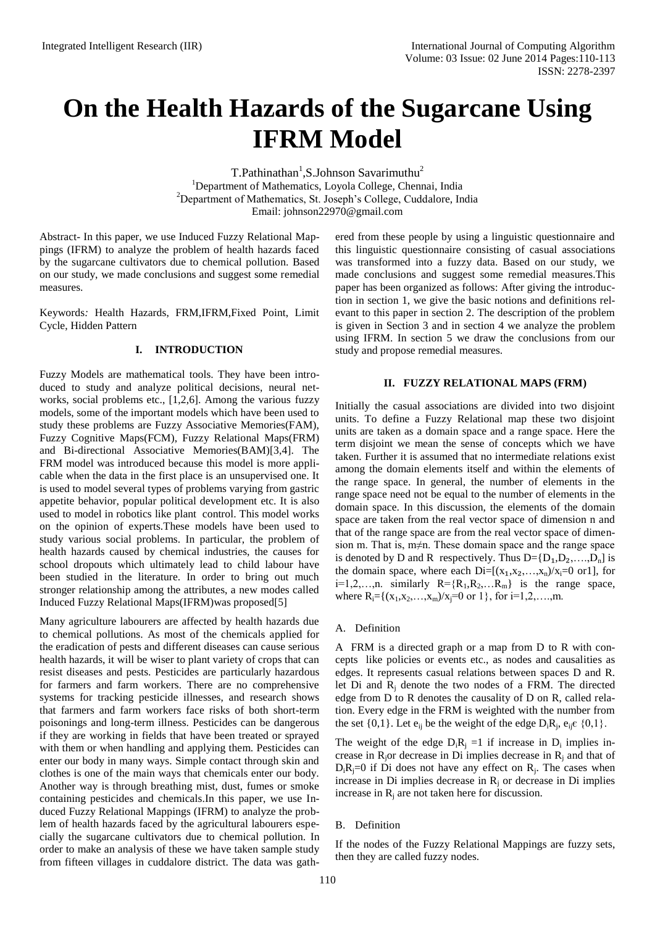# **On the Health Hazards of the Sugarcane Using IFRM Model**

T.Pathinathan<sup>1</sup>,S.Johnson Savarimuthu<sup>2</sup> <sup>1</sup>Department of Mathematics, Loyola College, Chennai, India <sup>2</sup>Department of Mathematics, St. Joseph's College, Cuddalore, India Email: johnson22970@gmail.com

Abstract- In this paper, we use Induced Fuzzy Relational Mappings (IFRM) to analyze the problem of health hazards faced by the sugarcane cultivators due to chemical pollution. Based on our study, we made conclusions and suggest some remedial measures.

Keywords*:* Health Hazards, FRM,IFRM,Fixed Point, Limit Cycle, Hidden Pattern

#### **I. INTRODUCTION**

Fuzzy Models are mathematical tools. They have been introduced to study and analyze political decisions, neural networks, social problems etc., [1,2,6]. Among the various fuzzy models, some of the important models which have been used to study these problems are Fuzzy Associative Memories(FAM), Fuzzy Cognitive Maps(FCM), Fuzzy Relational Maps(FRM) and Bi-directional Associative Memories(BAM)[3,4]. The FRM model was introduced because this model is more applicable when the data in the first place is an unsupervised one. It is used to model several types of problems varying from gastric appetite behavior, popular political development etc. It is also used to model in robotics like plant control. This model works on the opinion of experts.These models have been used to study various social problems. In particular, the problem of health hazards caused by chemical industries, the causes for school dropouts which ultimately lead to child labour have been studied in the literature. In order to bring out much stronger relationship among the attributes, a new modes called Induced Fuzzy Relational Maps(IFRM)was proposed[5]

Many agriculture labourers are affected by health hazards due to chemical pollutions. As most of the chemicals applied for the eradication of pests and different diseases can cause serious health hazards, it will be wiser to plant variety of crops that can resist diseases and pests. Pesticides are particularly hazardous for farmers and farm workers. There are no comprehensive systems for tracking pesticide illnesses, and research shows that farmers and farm workers face risks of both short-term poisonings and long-term illness. Pesticides can be dangerous if they are working in fields that have been treated or sprayed with them or when handling and applying them. Pesticides can enter our body in many ways. Simple contact through skin and clothes is one of the main ways that chemicals enter our body. Another way is through breathing mist, dust, fumes or smoke containing pesticides and chemicals.In this paper, we use Induced Fuzzy Relational Mappings (IFRM) to analyze the problem of health hazards faced by the agricultural labourers especially the sugarcane cultivators due to chemical pollution. In order to make an analysis of these we have taken sample study from fifteen villages in cuddalore district. The data was gath-

ered from these people by using a linguistic questionnaire and this linguistic questionnaire consisting of casual associations was transformed into a fuzzy data. Based on our study, we made conclusions and suggest some remedial measures.This paper has been organized as follows: After giving the introduction in section 1, we give the basic notions and definitions relevant to this paper in section 2. The description of the problem is given in Section 3 and in section 4 we analyze the problem using IFRM. In section 5 we draw the conclusions from our study and propose remedial measures.

#### **II. FUZZY RELATIONAL MAPS (FRM)**

Initially the casual associations are divided into two disjoint units. To define a Fuzzy Relational map these two disjoint units are taken as a domain space and a range space. Here the term disjoint we mean the sense of concepts which we have taken. Further it is assumed that no intermediate relations exist among the domain elements itself and within the elements of the range space. In general, the number of elements in the range space need not be equal to the number of elements in the domain space. In this discussion, the elements of the domain space are taken from the real vector space of dimension n and that of the range space are from the real vector space of dimension m. That is, m≠n. These domain space and the range space is denoted by D and R respectively. Thus  $D = \{D_1, D_2, \ldots, D_n\}$  is the domain space, where each  $Di=[(x_1,x_2,...,x_n)/x_i=0 \text{ or } 1]$ , for  $i=1,2,...,n$ . similarly  $R = \{R_1, R_2,...R_m\}$  is the range space, where  $R_i = \{(x_1, x_2, \ldots, x_m) / x_i = 0 \text{ or } 1\}$ , for  $i = 1, 2, \ldots, m$ .

#### A. Definition

A FRM is a directed graph or a map from D to R with concepts like policies or events etc., as nodes and causalities as edges. It represents casual relations between spaces D and R. let Di and R<sup>j</sup> denote the two nodes of a FRM. The directed edge from D to R denotes the causality of D on R, called relation. Every edge in the FRM is weighted with the number from the set  $\{0,1\}$ . Let  $e_{ij}$  be the weight of the edge  $D_iR_j$ ,  $e_{ij} \in \{0,1\}$ .

The weight of the edge  $D_iR_j = 1$  if increase in  $D_i$  implies increase in  $R_i$ or decrease in Di implies decrease in  $R_i$  and that of  $D_iR_j=0$  if Di does not have any effect on  $R_j$ . The cases when increase in Di implies decrease in  $R_i$  or decrease in Di implies increase in  $R_i$  are not taken here for discussion.

#### B. Definition

If the nodes of the Fuzzy Relational Mappings are fuzzy sets, then they are called fuzzy nodes.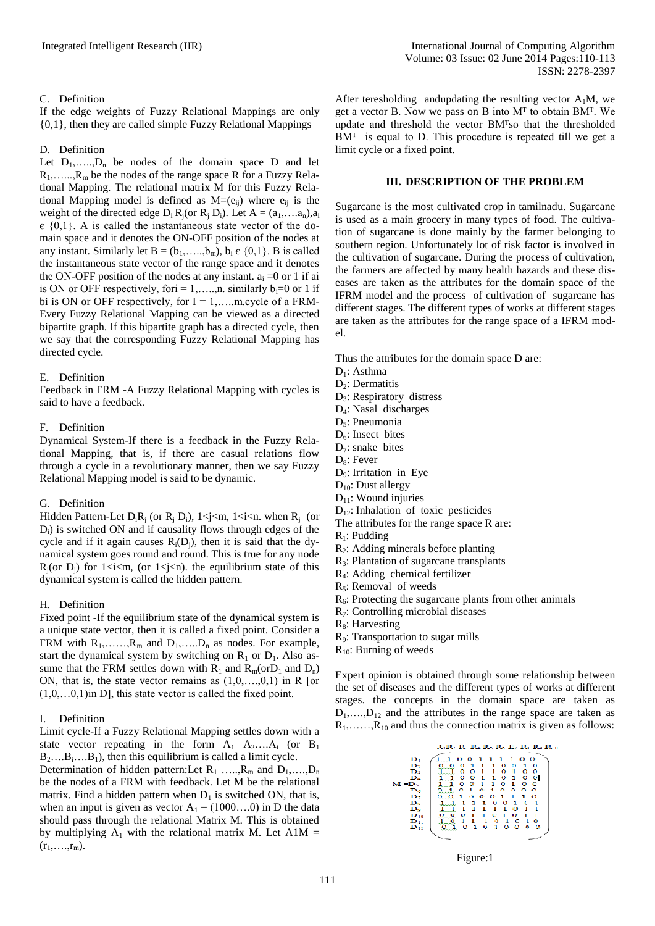### C. Definition

If the edge weights of Fuzzy Relational Mappings are only {0,1}, then they are called simple Fuzzy Relational Mappings

#### D. Definition

Let  $D_1, \ldots, D_n$  be nodes of the domain space D and let  $R_1, \ldots, R_m$  be the nodes of the range space R for a Fuzzy Relational Mapping. The relational matrix M for this Fuzzy Relational Mapping model is defined as  $M=(e_{ii})$  where  $e_{ii}$  is the weight of the directed edge  $D_i R_i$  (or  $R_i D_i$ ). Let  $A = (a_1, \ldots, a_n), a_i$  $\epsilon$  {0,1}. A is called the instantaneous state vector of the domain space and it denotes the ON-OFF position of the nodes at any instant. Similarly let  $B = (b_1, \ldots, b_m)$ ,  $b_i \in \{0, 1\}$ . B is called the instantaneous state vector of the range space and it denotes the ON-OFF position of the nodes at any instant.  $a_i = 0$  or 1 if ai is ON or OFF respectively, for  $i = 1, \ldots, n$ . similarly  $b_i = 0$  or 1 if bi is ON or OFF respectively, for  $I = 1, \ldots, m$  cycle of a FRM-Every Fuzzy Relational Mapping can be viewed as a directed bipartite graph. If this bipartite graph has a directed cycle, then we say that the corresponding Fuzzy Relational Mapping has directed cycle.

#### E. Definition

Feedback in FRM -A Fuzzy Relational Mapping with cycles is said to have a feedback.

#### F. Definition

Dynamical System-If there is a feedback in the Fuzzy Relational Mapping, that is, if there are casual relations flow through a cycle in a revolutionary manner, then we say Fuzzy Relational Mapping model is said to be dynamic.

#### G. Definition

Hidden Pattern-Let  $D_iR_j$  (or  $R_j$   $D_i$ ),  $1 \le j \le m$ ,  $1 \le i \le n$ . when  $R_j$  (or D<sub>i</sub>) is switched ON and if causality flows through edges of the cycle and if it again causes  $R_i(D_i)$ , then it is said that the dynamical system goes round and round. This is true for any node  $R_i$ (or  $D_i$ ) for  $1 \le i \le m$ , (or  $1 \le i \le n$ ). the equilibrium state of this dynamical system is called the hidden pattern.

### H. Definition

Fixed point -If the equilibrium state of the dynamical system is a unique state vector, then it is called a fixed point. Consider a FRM with  $R_1, \ldots, R_m$  and  $D_1, \ldots, D_n$  as nodes. For example, start the dynamical system by switching on  $R_1$  or  $D_1$ . Also assume that the FRM settles down with  $R_1$  and  $R_m$  (or  $D_1$  and  $D_n$ ) ON, that is, the state vector remains as  $(1,0,\ldots,0,1)$  in R [or  $(1,0,\ldots,0,1)$  in D], this state vector is called the fixed point.

#### I. Definition

Limit cycle-If a Fuzzy Relational Mapping settles down with a state vector repeating in the form  $A_1$   $A_2$ ... $A_i$  (or  $B_1$ )  $B_2$ .... $B_i$ .... $B_1$ ), then this equilibrium is called a limit cycle. Determination of hidden pattern: Let  $R_1$  …..,  $R_m$  and  $D_1$ , ….,  $D_n$ be the nodes of a FRM with feedback. Let M be the relational matrix. Find a hidden pattern when  $D_1$  is switched ON, that is, when an input is given as vector  $A_1 = (1000...0)$  in D the data should pass through the relational Matrix M. This is obtained by multiplying  $A_1$  with the relational matrix M. Let A1M =  $(r_1,...,r_m)$ .

After teresholding and updating the resulting vector  $A_1M$ , we get a vector B. Now we pass on B into  $M<sup>T</sup>$  to obtain BM<sup>T</sup>. We update and threshold the vector BM<sup>T</sup>so that the thresholded  $BM<sup>T</sup>$  is equal to D. This procedure is repeated till we get a limit cycle or a fixed point.

#### **III. DESCRIPTION OF THE PROBLEM**

Sugarcane is the most cultivated crop in tamilnadu. Sugarcane is used as a main grocery in many types of food. The cultivation of sugarcane is done mainly by the farmer belonging to southern region. Unfortunately lot of risk factor is involved in the cultivation of sugarcane. During the process of cultivation, the farmers are affected by many health hazards and these diseases are taken as the attributes for the domain space of the IFRM model and the process of cultivation of sugarcane has different stages. The different types of works at different stages are taken as the attributes for the range space of a IFRM model.

Thus the attributes for the domain space D are:

- D<sub>1</sub>: Asthma
- D<sub>2</sub>: Dermatitis
- D<sub>3</sub>: Respiratory distress
- D4: Nasal discharges
- D<sub>5</sub>: Pneumonia
- $D<sub>6</sub>$ : Insect bites
- $D_7$ : snake bites
- $D_8$ : Fever
- D9: Irritation in Eye
- D<sub>10</sub>: Dust allergy
- $D_{11}$ : Wound injuries
- D<sub>12</sub>: Inhalation of toxic pesticides
- The attributes for the range space R are:
- $R_1$ : Pudding
- $R<sub>2</sub>$ : Adding minerals before planting
- $R_3$ : Plantation of sugarcane transplants
- R4: Adding chemical fertilizer
- $R<sub>5</sub>$ : Removal of weeds
- $R<sub>6</sub>$ : Protecting the sugarcane plants from other animals
- R7: Controlling microbial diseases
- $R_8$ : Harvesting
- R9: Transportation to sugar mills
- $R_{10}$ : Burning of weeds

Expert opinion is obtained through some relationship between the set of diseases and the different types of works at different stages. the concepts in the domain space are taken as  $D_1, \ldots, D_{12}$  and the attributes in the range space are taken as  $R_1, \ldots, R_{10}$  and thus the connection matrix is given as follows:



Figure:1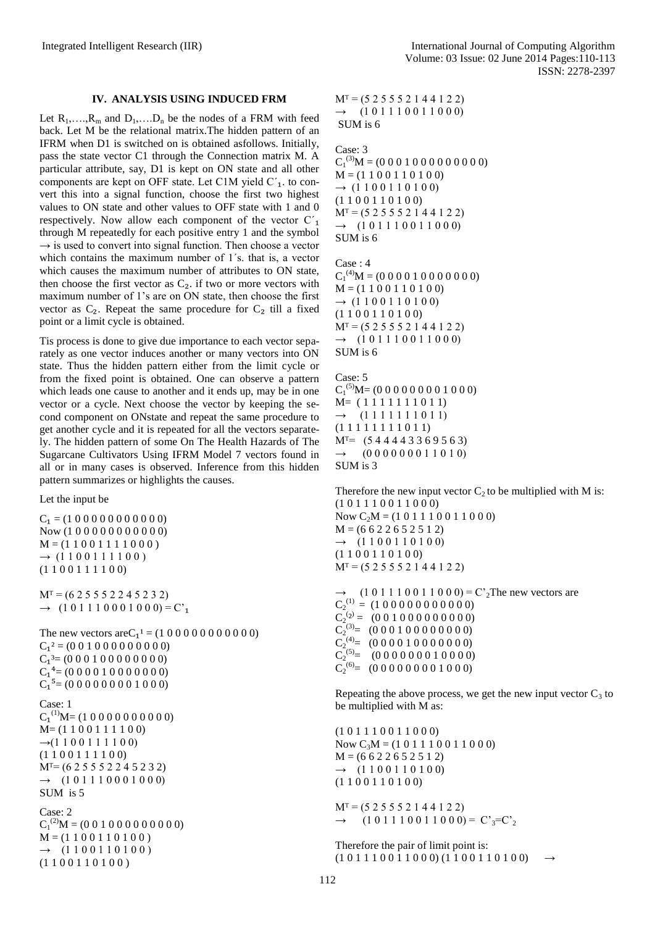#### **IV. ANALYSIS USING INDUCED FRM**

Let  $R_1, \ldots, R_m$  and  $D_1, \ldots, D_n$  be the nodes of a FRM with feed back. Let M be the relational matrix.The hidden pattern of an IFRM when D1 is switched on is obtained asfollows. Initially, pass the state vector C1 through the Connection matrix M. A particular attribute, say, D1 is kept on ON state and all other components are kept on OFF state. Let C1M yield  $C<sub>1</sub>$ . to convert this into a signal function, choose the first two highest values to ON state and other values to OFF state with 1 and 0 respectively. Now allow each component of the vector  $C'_{1}$ through M repeatedly for each positive entry 1 and the symbol  $\rightarrow$  is used to convert into signal function. Then choose a vector which contains the maximum number of 1´s. that is, a vector which causes the maximum number of attributes to ON state, then choose the first vector as  $C_2$ . if two or more vectors with maximum number of 1's are on ON state, then choose the first vector as  $C_2$ . Repeat the same procedure for  $C_2$  till a fixed point or a limit cycle is obtained.

Tis process is done to give due importance to each vector separately as one vector induces another or many vectors into ON state. Thus the hidden pattern either from the limit cycle or from the fixed point is obtained. One can observe a pattern which leads one cause to another and it ends up, may be in one vector or a cycle. Next choose the vector by keeping the second component on ONstate and repeat the same procedure to get another cycle and it is repeated for all the vectors separately. The hidden pattern of some On The Health Hazards of The Sugarcane Cultivators Using IFRM Model 7 vectors found in all or in many cases is observed. Inference from this hidden pattern summarizes or highlights the causes.

Let the input be

 $M<sup>T</sup> = (5 2 5 5 5 2 1 4 4 1 2 2)$  $\rightarrow$  (1 0 1 1 1 0 0 1 1 0 0 0) SUM is 6

## Case: 3

 $C_1^{(3)}M = (0\ 0\ 0\ 1\ 0\ 0\ 0\ 0\ 0\ 0\ 0\ 0)$  $M = (1 1 0 0 1 1 0 1 0 0)$  $\rightarrow$  (1 1 0 0 1 1 0 1 0 0) (1 1 0 0 1 1 0 1 0 0)  $M<sup>T</sup> = (5 2 5 5 5 2 1 4 4 1 2 2)$  $\rightarrow$  (1 0 1 1 1 0 0 1 1 0 0 0) SUM is 6

Case : 4  $C_1^{(4)}M = (0\ 0\ 0\ 0\ 1\ 0\ 0\ 0\ 0\ 0\ 0)$  $M = (1 1 0 0 1 1 0 1 0 0)$  $\rightarrow$  (1 1 0 0 1 1 0 1 0 0) (1 1 0 0 1 1 0 1 0 0)  $M<sup>T</sup> = (5 2 5 5 5 2 1 4 4 1 2 2)$  $\rightarrow$  (1 0 1 1 1 0 0 1 1 0 0 0) SUM is 6

Case: 5  $C_1^{(5)}M = (0\ 0\ 0\ 0\ 0\ 0\ 0\ 1\ 0\ 0\ 0)$ M= ( 1 1 1 1 1 1 1 0 1 1)  $\rightarrow$  (1 1 1 1 1 1 0 1 1) (1 1 1 1 1 1 1 1 0 1 1)  $M^{\text{T}}= (544443369563)$  $\rightarrow$  (0 0 0 0 0 0 0 1 1 0 1 0) SUM is 3

Therefore the new input vector  $C_2$  to be multiplied with M is: (1 0 1 1 1 0 0 1 1 0 0 0) Now  $C_2M = (1 0 1 1 1 0 0 1 1 0 0 0)$  $M = (6 6 2 2 6 5 2 5 1 2)$  $\rightarrow$  (1 1 0 0 1 1 0 1 0 0) (1 1 0 0 1 1 0 1 0 0)  $M<sup>T</sup> = (5 2 5 5 5 2 1 4 4 1 2 2)$ 

 $\rightarrow$  (1 0 1 1 1 0 0 1 1 0 0 0) = C'<sub>2</sub>The new vectors are  $C_2^{(1)} = (1\ 0\ 0\ 0\ 0\ 0\ 0\ 0\ 0\ 0)$  $C_2^{(2)} = (0\ 0\ 1\ 0\ 0\ 0\ 0\ 0\ 0\ 0\ 0)$  $C_2^{(3)} = (0\ 0\ 0\ 1\ 0\ 0\ 0\ 0\ 0\ 0\ 0)$  $C_2^{(4)} = (0\ 0\ 0\ 0\ 1\ 0\ 0\ 0\ 0\ 0\ 0)$  $C_2^{(5)} = (0\ 0\ 0\ 0\ 0\ 0\ 1\ 0\ 0\ 0)$  $C_2^{(6)} = (0\ 0\ 0\ 0\ 0\ 0\ 0\ 1\ 0\ 0\ 0)$ 

Repeating the above process, we get the new input vector  $C_3$  to be multiplied with M as:

(1 0 1 1 1 0 0 1 1 0 0 0) Now  $C_3M = (1\ 0\ 1\ 1\ 1\ 0\ 0\ 1\ 1\ 0\ 0\ 0)$  $M = (6622652512)$  $\rightarrow$  (1 1 0 0 1 1 0 1 0 0) (1 1 0 0 1 1 0 1 0 0)  $M<sup>T</sup> = (5 2 5 5 5 2 1 4 4 1 2 2)$  $\rightarrow$  (1 0 1 1 1 0 0 1 1 0 0 0) = C'<sub>3</sub>=C'<sub>2</sub>

Therefore the pair of limit point is:  $(1 0 1 1 1 0 0 1 1 0 0 0) (1 1 0 0 1 1 0 1 0 0)$